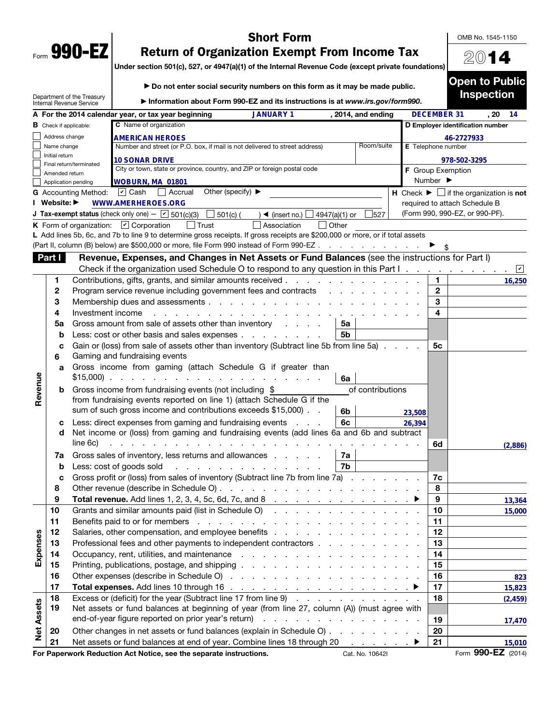| Form | 990- |  |
|------|------|--|

## Short Form

OMB No. 1545-1150

2014

Under section 501(c), 527, or 4947(a)(1) of the Internal Revenue Code (except private foundations)

|                   |                               |                                                        | Do not enter social security numbers on this form as it may be made public.                                                                                                                                                                                                                                                                                                                                                                                                                                                            |                              | <b>Open to Public</b>                                         |
|-------------------|-------------------------------|--------------------------------------------------------|----------------------------------------------------------------------------------------------------------------------------------------------------------------------------------------------------------------------------------------------------------------------------------------------------------------------------------------------------------------------------------------------------------------------------------------------------------------------------------------------------------------------------------------|------------------------------|---------------------------------------------------------------|
|                   |                               | Department of the Treasury<br>Internal Revenue Service | Information about Form 990-EZ and its instructions is at www.irs.gov/form990.                                                                                                                                                                                                                                                                                                                                                                                                                                                          |                              | <b>Inspection</b>                                             |
|                   |                               |                                                        | <b>JANUARY 1</b><br>A For the 2014 calendar year, or tax year beginning<br>, 2014, and ending                                                                                                                                                                                                                                                                                                                                                                                                                                          | <b>DECEMBER 31</b>           | . 20<br>14                                                    |
|                   | <b>B</b> Check if applicable: |                                                        | C Name of organization                                                                                                                                                                                                                                                                                                                                                                                                                                                                                                                 |                              | D Employer identification number                              |
|                   | Address change                |                                                        | <b>AMERICAN HEROES</b>                                                                                                                                                                                                                                                                                                                                                                                                                                                                                                                 |                              | 46-2727933                                                    |
|                   | Name change<br>Initial return |                                                        | Room/suite<br>Number and street (or P.O. box, if mail is not delivered to street address)                                                                                                                                                                                                                                                                                                                                                                                                                                              | E Telephone number           |                                                               |
|                   |                               | Final return/terminated                                | <b>10 SONAR DRIVE</b>                                                                                                                                                                                                                                                                                                                                                                                                                                                                                                                  |                              | 978-502-3295                                                  |
|                   | Amended return                |                                                        | City or town, state or province, country, and ZIP or foreign postal code                                                                                                                                                                                                                                                                                                                                                                                                                                                               | F Group Exemption            |                                                               |
|                   |                               | Application pending                                    | WOBURN, MA 01801                                                                                                                                                                                                                                                                                                                                                                                                                                                                                                                       | Number $\blacktriangleright$ |                                                               |
|                   |                               | <b>G</b> Accounting Method:                            | Other (specify) $\blacktriangleright$<br>$\boxed{\mathbf{v}}$ Cash<br>  Accrual                                                                                                                                                                                                                                                                                                                                                                                                                                                        |                              | H Check $\blacktriangleright \Box$ if the organization is not |
|                   | I Website: ▶                  |                                                        | <b>WWW.AMERHEROES.ORG</b>                                                                                                                                                                                                                                                                                                                                                                                                                                                                                                              |                              | required to attach Schedule B                                 |
|                   |                               |                                                        | <b>J Tax-exempt status</b> (check only one) $ \boxed{\checkmark}$ 501(c)(3)<br>$\Box$ 501(c) (<br>) ◀ (insert no.) $\Box$ 4947(a)(1) or<br>527                                                                                                                                                                                                                                                                                                                                                                                         |                              | (Form 990, 990-EZ, or 990-PF).                                |
|                   |                               |                                                        | K Form of organization: $\boxed{\mathbf{v}}$ Corporation<br>$\vert$ Trust<br>Association<br>$\Box$ Other<br>L Add lines 5b, 6c, and 7b to line 9 to determine gross receipts. If gross receipts are \$200,000 or more, or if total assets                                                                                                                                                                                                                                                                                              |                              |                                                               |
|                   |                               |                                                        | (Part II, column (B) below) are \$500,000 or more, file Form 990 instead of Form 990-EZ                                                                                                                                                                                                                                                                                                                                                                                                                                                |                              |                                                               |
|                   | Part I                        |                                                        | Revenue, Expenses, and Changes in Net Assets or Fund Balances (see the instructions for Part I)                                                                                                                                                                                                                                                                                                                                                                                                                                        |                              |                                                               |
|                   |                               |                                                        | Check if the organization used Schedule O to respond to any question in this Part I                                                                                                                                                                                                                                                                                                                                                                                                                                                    |                              | ⊻                                                             |
|                   | 1                             |                                                        | Contributions, gifts, grants, and similar amounts received                                                                                                                                                                                                                                                                                                                                                                                                                                                                             | 1.                           |                                                               |
|                   | 2                             |                                                        | Program service revenue including government fees and contracts                                                                                                                                                                                                                                                                                                                                                                                                                                                                        | $\mathbf{2}$                 | 16,250                                                        |
|                   | 3                             |                                                        |                                                                                                                                                                                                                                                                                                                                                                                                                                                                                                                                        | 3                            |                                                               |
|                   | 4                             | Investment income                                      | .                                                                                                                                                                                                                                                                                                                                                                                                                                                                                                                                      | 4                            |                                                               |
|                   | 5a                            |                                                        | Gross amount from sale of assets other than inventory<br>5a                                                                                                                                                                                                                                                                                                                                                                                                                                                                            |                              |                                                               |
|                   | b                             |                                                        | Less: cost or other basis and sales expenses<br>5b                                                                                                                                                                                                                                                                                                                                                                                                                                                                                     |                              |                                                               |
|                   | c                             |                                                        | Gain or (loss) from sale of assets other than inventory (Subtract line 5b from line 5a)                                                                                                                                                                                                                                                                                                                                                                                                                                                | 5с                           |                                                               |
|                   | 6                             |                                                        | Gaming and fundraising events                                                                                                                                                                                                                                                                                                                                                                                                                                                                                                          |                              |                                                               |
|                   | a                             |                                                        | Gross income from gaming (attach Schedule G if greater than<br>$$15,000$<br>6a                                                                                                                                                                                                                                                                                                                                                                                                                                                         |                              |                                                               |
| Revenue           | b                             |                                                        | Gross income from fundraising events (not including \$<br>of contributions                                                                                                                                                                                                                                                                                                                                                                                                                                                             |                              |                                                               |
|                   |                               |                                                        | from fundraising events reported on line 1) (attach Schedule G if the                                                                                                                                                                                                                                                                                                                                                                                                                                                                  |                              |                                                               |
|                   |                               |                                                        | sum of such gross income and contributions exceeds \$15,000). .<br>6b                                                                                                                                                                                                                                                                                                                                                                                                                                                                  | 23,508                       |                                                               |
|                   | c                             |                                                        | Less: direct expenses from gaming and fundraising events<br>6c<br><b>Contractor</b>                                                                                                                                                                                                                                                                                                                                                                                                                                                    | 26,394                       |                                                               |
|                   | d                             |                                                        | Net income or (loss) from gaming and fundraising events (add lines 6a and 6b and subtract                                                                                                                                                                                                                                                                                                                                                                                                                                              |                              |                                                               |
|                   |                               | line 6c)                                               | the contract of the contract of the contract of the contract of the contract of the contract of the contract of                                                                                                                                                                                                                                                                                                                                                                                                                        | 6d                           | (2,886)                                                       |
|                   | 7a                            |                                                        | Gross sales of inventory, less returns and allowances<br>7a                                                                                                                                                                                                                                                                                                                                                                                                                                                                            |                              |                                                               |
|                   | b                             |                                                        | 7b<br>Less: cost of goods sold<br>.                                                                                                                                                                                                                                                                                                                                                                                                                                                                                                    |                              |                                                               |
|                   | с                             |                                                        | Gross profit or (loss) from sales of inventory (Subtract line 7b from line 7a)                                                                                                                                                                                                                                                                                                                                                                                                                                                         | 7c                           |                                                               |
|                   | 8                             |                                                        |                                                                                                                                                                                                                                                                                                                                                                                                                                                                                                                                        | 8                            |                                                               |
|                   | 9                             |                                                        |                                                                                                                                                                                                                                                                                                                                                                                                                                                                                                                                        | 9                            | 13,364                                                        |
|                   | 10                            |                                                        | Grants and similar amounts paid (list in Schedule O)                                                                                                                                                                                                                                                                                                                                                                                                                                                                                   | 10                           | 15,000                                                        |
|                   | 11                            |                                                        | Benefits paid to or for members<br>the contract of the contract of the contract of the contract of the contract of                                                                                                                                                                                                                                                                                                                                                                                                                     | 11<br>12                     |                                                               |
|                   | 12<br>13                      |                                                        | Professional fees and other payments to independent contractors                                                                                                                                                                                                                                                                                                                                                                                                                                                                        | 13                           |                                                               |
| Expenses          | 14                            |                                                        |                                                                                                                                                                                                                                                                                                                                                                                                                                                                                                                                        | 14                           |                                                               |
|                   | 15                            |                                                        |                                                                                                                                                                                                                                                                                                                                                                                                                                                                                                                                        | 15                           |                                                               |
|                   | 16                            |                                                        |                                                                                                                                                                                                                                                                                                                                                                                                                                                                                                                                        | 16                           |                                                               |
|                   | 17                            |                                                        |                                                                                                                                                                                                                                                                                                                                                                                                                                                                                                                                        | 17                           | 823                                                           |
|                   | 18                            |                                                        | Excess or (deficit) for the year (Subtract line 17 from line 9)                                                                                                                                                                                                                                                                                                                                                                                                                                                                        | 18                           | 15,823                                                        |
| <b>Net Assets</b> | 19                            |                                                        | Net assets or fund balances at beginning of year (from line 27, column (A)) (must agree with                                                                                                                                                                                                                                                                                                                                                                                                                                           |                              | (2, 459)                                                      |
|                   |                               |                                                        | end-of-year figure reported on prior year's return)<br>and a series of the contract of the contract of                                                                                                                                                                                                                                                                                                                                                                                                                                 | 19                           | 17,470                                                        |
|                   | 20                            |                                                        | Other changes in net assets or fund balances (explain in Schedule O)                                                                                                                                                                                                                                                                                                                                                                                                                                                                   | 20                           |                                                               |
|                   | 21                            |                                                        | Net assets or fund balances at end of year. Combine lines 18 through 20<br>$\mathcal{L}(\mathcal{L}(\mathcal{L}(\mathcal{L}(\mathcal{L}(\mathcal{L}(\mathcal{L}(\mathcal{L}(\mathcal{L}(\mathcal{L}(\mathcal{L}(\mathcal{L}(\mathcal{L}(\mathcal{L}(\mathcal{L}(\mathcal{L}(\mathcal{L}(\mathcal{L}(\mathcal{L}(\mathcal{L}(\mathcal{L}(\mathcal{L}(\mathcal{L}(\mathcal{L}(\mathcal{L}(\mathcal{L}(\mathcal{L}(\mathcal{L}(\mathcal{L}(\mathcal{L}(\mathcal{L}(\mathcal{L}(\mathcal{L}(\mathcal{L}(\mathcal{L}(\mathcal{L}(\mathcal{$ | 21                           | 15,010                                                        |
|                   |                               |                                                        |                                                                                                                                                                                                                                                                                                                                                                                                                                                                                                                                        |                              | $\sim$ $\sim$ $\sim$                                          |

For Paperwork Reduction Act Notice, see the separate instructions. Cat. No. 10642I Form 990-EZ (2014)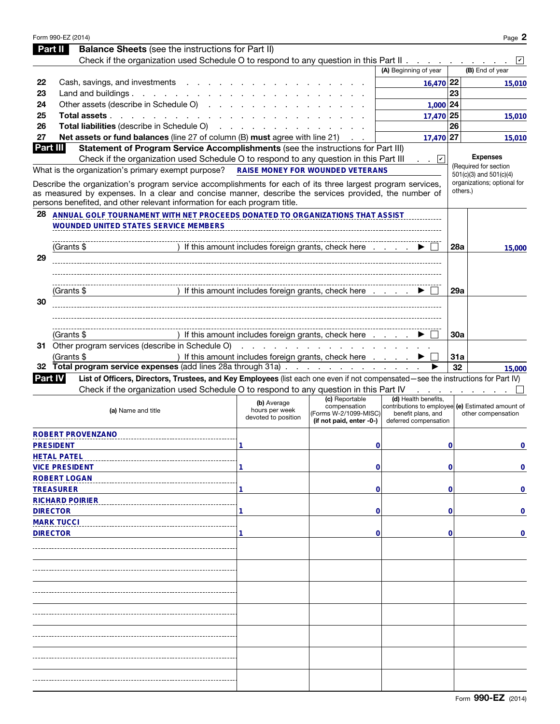|                | Form 990-EZ (2014)                                                                                                                                                                                                   |                                                      |                                |                                                                           |            | Page 2                                  |
|----------------|----------------------------------------------------------------------------------------------------------------------------------------------------------------------------------------------------------------------|------------------------------------------------------|--------------------------------|---------------------------------------------------------------------------|------------|-----------------------------------------|
|                | <b>Balance Sheets</b> (see the instructions for Part II)<br>Part II                                                                                                                                                  |                                                      |                                |                                                                           |            |                                         |
|                | Check if the organization used Schedule O to respond to any question in this Part II                                                                                                                                 |                                                      |                                |                                                                           |            | $ \mathbf{v} $                          |
|                |                                                                                                                                                                                                                      |                                                      |                                | (A) Beginning of year                                                     |            | (B) End of year                         |
| 22             | Cash, savings, and investments                                                                                                                                                                                       |                                                      |                                | $16,470$ 22                                                               |            | 15,010                                  |
| 23             | Land and buildings $\ldots$ $\ldots$ $\ldots$ $\ldots$ $\ldots$                                                                                                                                                      |                                                      |                                |                                                                           | 23         |                                         |
| 24             | Other assets (describe in Schedule O)                                                                                                                                                                                |                                                      |                                | 1,000 24                                                                  |            |                                         |
| 25             | Total assets                                                                                                                                                                                                         |                                                      |                                | 17,470 25                                                                 |            | 15,010                                  |
| 26             | Total liabilities (describe in Schedule O)                                                                                                                                                                           |                                                      |                                |                                                                           | 26         |                                         |
| 27<br>Part III | <b>Net assets or fund balances</b> (line 27 of column (B) must agree with line 21)<br>Statement of Program Service Accomplishments (see the instructions for Part III)                                               |                                                      |                                | 17,470 27                                                                 |            | 15,010                                  |
|                | Check if the organization used Schedule O to respond to any question in this Part III                                                                                                                                |                                                      |                                | $ \mathbf{v} $                                                            |            | <b>Expenses</b>                         |
|                | What is the organization's primary exempt purpose?                                                                                                                                                                   | <b>RAISE MONEY FOR WOUNDED VETERANS</b>              |                                |                                                                           |            | (Required for section                   |
|                |                                                                                                                                                                                                                      |                                                      |                                |                                                                           |            | $501(c)(3)$ and $501(c)(4)$             |
|                | Describe the organization's program service accomplishments for each of its three largest program services,<br>as measured by expenses. In a clear and concise manner, describe the services provided, the number of |                                                      |                                |                                                                           |            | organizations; optional for<br>others.) |
|                | persons benefited, and other relevant information for each program title.                                                                                                                                            |                                                      |                                |                                                                           |            |                                         |
| 28             | ANNUAL GOLF TOURNAMENT WITH NET PROCEEDS DONATED TO ORGANIZATIONS THAT ASSIST                                                                                                                                        |                                                      |                                |                                                                           |            |                                         |
|                | <b>WOUNDED UNITED STATES SERVICE MEMBERS</b>                                                                                                                                                                         |                                                      |                                |                                                                           |            |                                         |
|                |                                                                                                                                                                                                                      |                                                      |                                |                                                                           |            |                                         |
|                | (Grants \$                                                                                                                                                                                                           | If this amount includes foreign grants, check here   |                                |                                                                           | 28a        | 15,000                                  |
| 29             |                                                                                                                                                                                                                      |                                                      |                                |                                                                           |            |                                         |
|                |                                                                                                                                                                                                                      |                                                      |                                |                                                                           |            |                                         |
|                |                                                                                                                                                                                                                      |                                                      |                                |                                                                           |            |                                         |
|                | (Grants \$                                                                                                                                                                                                           | If this amount includes foreign grants, check here   |                                |                                                                           | <b>29a</b> |                                         |
| 30             |                                                                                                                                                                                                                      |                                                      |                                |                                                                           |            |                                         |
|                |                                                                                                                                                                                                                      |                                                      |                                |                                                                           |            |                                         |
|                |                                                                                                                                                                                                                      |                                                      |                                |                                                                           |            |                                         |
|                | (Grants \$                                                                                                                                                                                                           | If this amount includes foreign grants, check here   |                                |                                                                           | 30a        |                                         |
|                | 31 Other program services (describe in Schedule O)                                                                                                                                                                   | and the state of the state of the state of           |                                |                                                                           |            |                                         |
|                | (Grants \$                                                                                                                                                                                                           | ) If this amount includes foreign grants, check here |                                |                                                                           | 31a        |                                         |
| 32             | <b>Total program service expenses</b> (add lines 28a through 31a)                                                                                                                                                    |                                                      |                                |                                                                           | 32         | 15,000                                  |
| <b>Part IV</b> | List of Officers, Directors, Trustees, and Key Employees (list each one even if not compensated—see the instructions for Part IV)                                                                                    |                                                      |                                |                                                                           |            |                                         |
|                | Check if the organization used Schedule O to respond to any question in this Part IV                                                                                                                                 |                                                      |                                |                                                                           |            |                                         |
|                |                                                                                                                                                                                                                      | (b) Average                                          | (c) Reportable<br>compensation | (d) Health benefits,<br>contributions to employee (e) Estimated amount of |            |                                         |
|                | (a) Name and title                                                                                                                                                                                                   | hours per week<br>devoted to position                | (Forms W-2/1099-MISC)          | benefit plans, and                                                        |            | other compensation                      |
|                |                                                                                                                                                                                                                      |                                                      | (if not paid, enter -0-)       | deferred compensation                                                     |            |                                         |
|                | <b>ROBERT PROVENZANO</b>                                                                                                                                                                                             |                                                      |                                |                                                                           |            |                                         |
|                | <b>PRESIDENT</b>                                                                                                                                                                                                     | 1                                                    | 0                              |                                                                           | 0          | 0                                       |
|                | <b>HETAL PATEL</b>                                                                                                                                                                                                   |                                                      |                                |                                                                           |            |                                         |
|                | <b>VICE PRESIDENT</b>                                                                                                                                                                                                |                                                      | 0                              |                                                                           | 0          | 0                                       |
|                | <b>ROBERT LOGAN</b>                                                                                                                                                                                                  |                                                      |                                |                                                                           |            |                                         |
|                | <b>TREASURER</b>                                                                                                                                                                                                     |                                                      | 0                              |                                                                           | 0          | 0                                       |
|                | <b>RICHARD POIRIER</b>                                                                                                                                                                                               |                                                      |                                |                                                                           |            |                                         |
|                | <b>DIRECTOR</b>                                                                                                                                                                                                      |                                                      | 0                              |                                                                           | 0          | 0                                       |
|                | <b>MARK TUCCI</b>                                                                                                                                                                                                    |                                                      |                                |                                                                           |            |                                         |
|                | <b>DIRECTOR</b>                                                                                                                                                                                                      |                                                      | 0                              |                                                                           | 0          | $\mathbf 0$                             |
|                |                                                                                                                                                                                                                      |                                                      |                                |                                                                           |            |                                         |
|                |                                                                                                                                                                                                                      |                                                      |                                |                                                                           |            |                                         |
|                |                                                                                                                                                                                                                      |                                                      |                                |                                                                           |            |                                         |
|                |                                                                                                                                                                                                                      |                                                      |                                |                                                                           |            |                                         |
|                |                                                                                                                                                                                                                      |                                                      |                                |                                                                           |            |                                         |
|                |                                                                                                                                                                                                                      |                                                      |                                |                                                                           |            |                                         |
|                |                                                                                                                                                                                                                      |                                                      |                                |                                                                           |            |                                         |
|                |                                                                                                                                                                                                                      |                                                      |                                |                                                                           |            |                                         |
|                |                                                                                                                                                                                                                      |                                                      |                                |                                                                           |            |                                         |
|                |                                                                                                                                                                                                                      |                                                      |                                |                                                                           |            |                                         |
|                |                                                                                                                                                                                                                      |                                                      |                                |                                                                           |            |                                         |
|                |                                                                                                                                                                                                                      |                                                      |                                |                                                                           |            |                                         |
|                |                                                                                                                                                                                                                      |                                                      |                                |                                                                           |            |                                         |
|                |                                                                                                                                                                                                                      |                                                      |                                |                                                                           |            |                                         |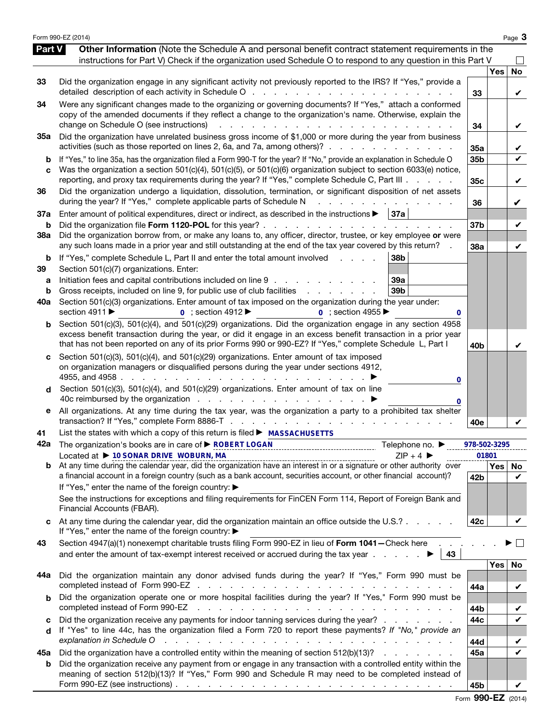|                          | Form 990-EZ (2014)                                                                                                                                                                                                                                                                                                                                                                                                                                                                                                   |                        |            | Page 3            |
|--------------------------|----------------------------------------------------------------------------------------------------------------------------------------------------------------------------------------------------------------------------------------------------------------------------------------------------------------------------------------------------------------------------------------------------------------------------------------------------------------------------------------------------------------------|------------------------|------------|-------------------|
| <b>Part V</b>            | Other Information (Note the Schedule A and personal benefit contract statement requirements in the<br>instructions for Part V) Check if the organization used Schedule O to respond to any question in this Part V                                                                                                                                                                                                                                                                                                   |                        |            |                   |
| 33                       | Did the organization engage in any significant activity not previously reported to the IRS? If "Yes," provide a<br>detailed description of each activity in Schedule O                                                                                                                                                                                                                                                                                                                                               | 33                     | <b>Yes</b> | <b>No</b><br>V    |
| 34                       | Were any significant changes made to the organizing or governing documents? If "Yes," attach a conformed<br>copy of the amended documents if they reflect a change to the organization's name. Otherwise, explain the<br>change on Schedule O (see instructions)<br>the contract of the contract of                                                                                                                                                                                                                  | 34                     |            | V                 |
| 35a                      | Did the organization have unrelated business gross income of \$1,000 or more during the year from business<br>activities (such as those reported on lines 2, 6a, and 7a, among others)?                                                                                                                                                                                                                                                                                                                              | 35a                    |            | V                 |
| b<br>C                   | If "Yes," to line 35a, has the organization filed a Form 990-T for the year? If "No," provide an explanation in Schedule O<br>Was the organization a section 501(c)(4), 501(c)(5), or 501(c)(6) organization subject to section 6033(e) notice,<br>reporting, and proxy tax requirements during the year? If "Yes," complete Schedule C, Part III                                                                                                                                                                    | 35b<br>35 <sub>c</sub> |            | $\checkmark$<br>V |
| 36                       | Did the organization undergo a liquidation, dissolution, termination, or significant disposition of net assets<br>during the year? If "Yes," complete applicable parts of Schedule N                                                                                                                                                                                                                                                                                                                                 | 36                     |            | V                 |
| 37a<br>b                 | Enter amount of political expenditures, direct or indirect, as described in the instructions $\blacktriangleright$   37a<br>Did the organization file Form 1120-POL for this year?                                                                                                                                                                                                                                                                                                                                   | 37 <sub>b</sub>        |            | V                 |
| 38a                      | Did the organization borrow from, or make any loans to, any officer, director, trustee, or key employee or were<br>any such loans made in a prior year and still outstanding at the end of the tax year covered by this return?                                                                                                                                                                                                                                                                                      | 38a                    |            | V                 |
| b<br>39<br>а<br>b<br>40a | If "Yes," complete Schedule L, Part II and enter the total amount involved<br>38 <sub>b</sub><br>and a control<br>Section 501(c)(7) organizations. Enter:<br>Initiation fees and capital contributions included on line 9<br>39a<br>Gross receipts, included on line 9, for public use of club facilities<br>39b<br>Section 501(c)(3) organizations. Enter amount of tax imposed on the organization during the year under:<br>section 4911 ▶<br>$\overline{0}$ ; section 4912<br>$\overline{0}$ : section 4955<br>0 |                        |            |                   |
| b                        | Section 501(c)(3), 501(c)(4), and 501(c)(29) organizations. Did the organization engage in any section 4958<br>excess benefit transaction during the year, or did it engage in an excess benefit transaction in a prior year<br>that has not been reported on any of its prior Forms 990 or 990-EZ? If "Yes," complete Schedule L, Part I                                                                                                                                                                            | 40b                    |            | V                 |
| d                        | Section 501(c)(3), 501(c)(4), and 501(c)(29) organizations. Enter amount of tax imposed<br>on organization managers or disqualified persons during the year under sections 4912,<br>4955, and 4958<br>the contract of the contract of the contract of the contract of the contract of the contract of the contract of<br>0<br>Section 501(c)(3), 501(c)(4), and 501(c)(29) organizations. Enter amount of tax on line<br>0                                                                                           |                        |            |                   |
| е                        | All organizations. At any time during the tax year, was the organization a party to a prohibited tax shelter                                                                                                                                                                                                                                                                                                                                                                                                         | 40e                    |            |                   |
| 41<br>42a                | List the states with which a copy of this return is filed ► MASSACHUSETTS<br>The organization's books are in care of ▶ ROBERT LOGAN<br>Telephone no. ▶<br>Located at ▶ 10 SONAR DRIVE WOBURN, MA<br>$ZIP + 4$                                                                                                                                                                                                                                                                                                        | 978-502-3295           | 01801      |                   |
|                          | Located at $\blacktriangleright$ 10 SUP + 4 Second by At any time during the calendar year, did the organization have an interest in or a signature or other authority over                                                                                                                                                                                                                                                                                                                                          |                        |            | Yes   No          |
|                          | a financial account in a foreign country (such as a bank account, securities account, or other financial account)?<br>If "Yes," enter the name of the foreign country: ▶<br>See the instructions for exceptions and filing requirements for FinCEN Form 114, Report of Foreign Bank and<br>Financial Accounts (FBAR).                                                                                                                                                                                                | 42b                    |            | V                 |
|                          | At any time during the calendar year, did the organization maintain an office outside the U.S.?<br>If "Yes," enter the name of the foreign country: ▶                                                                                                                                                                                                                                                                                                                                                                | 42c                    |            | V                 |
| 43                       | Section 4947(a)(1) nonexempt charitable trusts filing Form 990-EZ in lieu of Form 1041-Check here<br>and enter the amount of tax-exempt interest received or accrued during the tax year $\ldots$ .<br>43                                                                                                                                                                                                                                                                                                            |                        |            | $\vert \ \ \vert$ |
| 44a                      | Did the organization maintain any donor advised funds during the year? If "Yes," Form 990 must be                                                                                                                                                                                                                                                                                                                                                                                                                    | 44a                    | Yes        | No<br>V           |
| b                        | Did the organization operate one or more hospital facilities during the year? If "Yes," Form 990 must be<br>completed instead of Form 990-EZ                                                                                                                                                                                                                                                                                                                                                                         | 44b                    |            | V                 |
| c<br>d                   | Did the organization receive any payments for indoor tanning services during the year?<br>If "Yes" to line 44c, has the organization filed a Form 720 to report these payments? If "No," provide an<br>explanation in Schedule O<br>والمتعاون والمتعاون والمتعاون والمتعاون والمتعاون والمتعاون والمتعاون والمتعاون والمتعاونة                                                                                                                                                                                       | 44c<br>44d             |            | V<br>V            |
| 45а                      | Did the organization have a controlled entity within the meaning of section 512(b)(13)?                                                                                                                                                                                                                                                                                                                                                                                                                              | 45a                    |            | $\checkmark$      |
| b                        | Did the organization receive any payment from or engage in any transaction with a controlled entity within the<br>meaning of section 512(b)(13)? If "Yes," Form 990 and Schedule R may need to be completed instead of<br>Form 990-EZ (see instructions) $\ldots$ $\ldots$ $\ldots$ $\ldots$ $\ldots$ $\ldots$ $\ldots$ $\ldots$ $\ldots$ $\ldots$ $\ldots$                                                                                                                                                          | 45b                    |            |                   |

Form 990-EZ (2014)